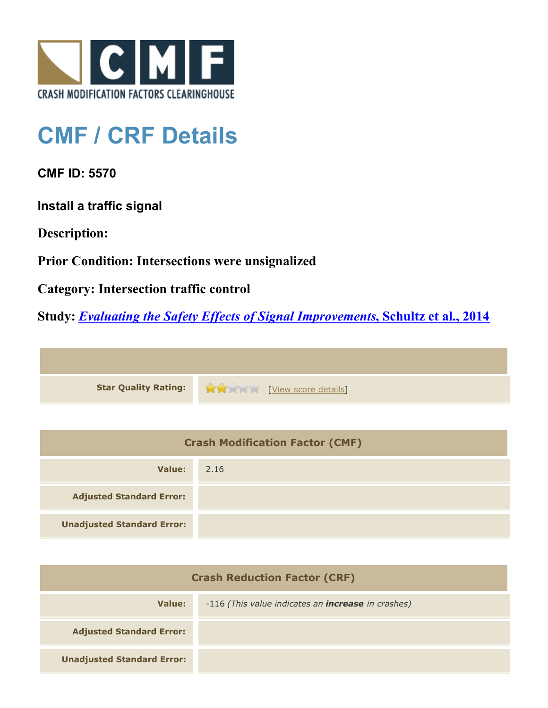

## **CMF / CRF Details**

**CMF ID: 5570**

**Install a traffic signal**

**Description:** 

**Prior Condition: Intersections were unsignalized**

**Category: Intersection traffic control**

**Study:** *[Evaluating the Safety Effects of Signal Improvements](http://www.cmfclearinghouse.org/study_detail.cfm?stid=364)***[, Schultz et al., 2014](http://www.cmfclearinghouse.org/study_detail.cfm?stid=364)**



| <b>Crash Modification Factor (CMF)</b> |      |  |
|----------------------------------------|------|--|
| Value:                                 | 2.16 |  |
| <b>Adjusted Standard Error:</b>        |      |  |
| <b>Unadjusted Standard Error:</b>      |      |  |

| <b>Crash Reduction Factor (CRF)</b> |                                                           |  |
|-------------------------------------|-----------------------------------------------------------|--|
| Value:                              | -116 (This value indicates an <b>increase</b> in crashes) |  |
| <b>Adjusted Standard Error:</b>     |                                                           |  |
| <b>Unadjusted Standard Error:</b>   |                                                           |  |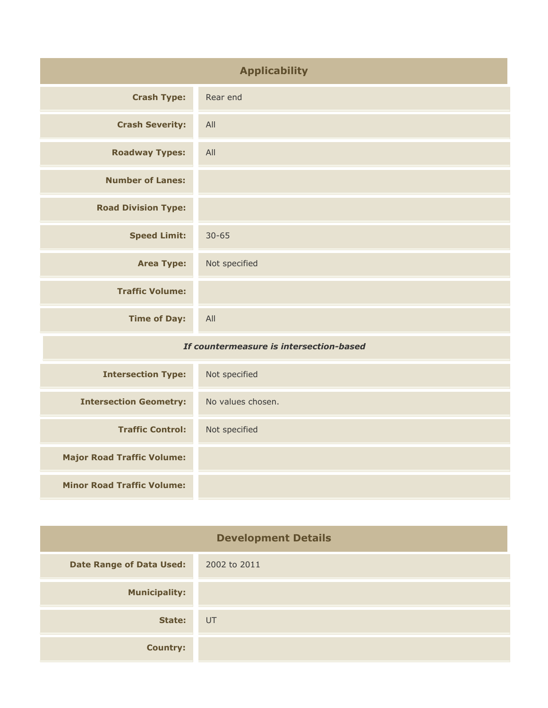| <b>Applicability</b>                    |                   |
|-----------------------------------------|-------------------|
| <b>Crash Type:</b>                      | Rear end          |
| <b>Crash Severity:</b>                  | All               |
| <b>Roadway Types:</b>                   | All               |
| <b>Number of Lanes:</b>                 |                   |
| <b>Road Division Type:</b>              |                   |
| <b>Speed Limit:</b>                     | $30 - 65$         |
| <b>Area Type:</b>                       | Not specified     |
| <b>Traffic Volume:</b>                  |                   |
| <b>Time of Day:</b>                     | All               |
| If countermeasure is intersection-based |                   |
| <b>Intersection Type:</b>               | Not specified     |
| <b>Intersection Geometry:</b>           | No values chosen. |
| <b>Traffic Control:</b>                 | Not specified     |
| <b>Major Road Traffic Volume:</b>       |                   |

**Minor Road Traffic Volume:**

| <b>Development Details</b>      |              |
|---------------------------------|--------------|
| <b>Date Range of Data Used:</b> | 2002 to 2011 |
| <b>Municipality:</b>            |              |
| State:                          | UT           |
| <b>Country:</b>                 |              |